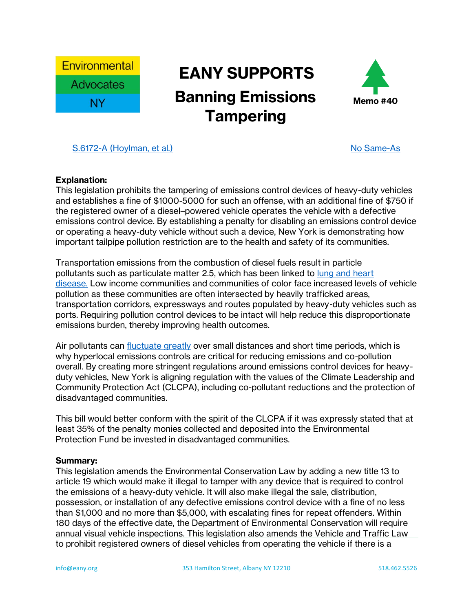

## **EANY SUPPORTS Banning Emissions Memo #40 Tampering**



## [S.6172-A \(Hoylman, et al.\)](https://www.nysenate.gov/legislation/bills/2021/S6172) S.6172-A (Hoylman, et al.) [No Same-As](https://assembly.state.ny.us/leg/?bn=S6172)

## **Explanation:**

This legislation prohibits the tampering of emissions control devices of heavy-duty vehicles and establishes a fine of \$1000-5000 for such an offense, with an additional fine of \$750 if the registered owner of a diesel–powered vehicle operates the vehicle with a defective emissions control device. By establishing a penalty for disabling an emissions control device or operating a heavy-duty vehicle without such a device, New York is demonstrating how important tailpipe pollution restriction are to the health and safety of its communities.

Transportation emissions from the combustion of diesel fuels result in particle pollutants such as particulate matter 2.5, which has been linked to [lung and heart](https://www.epa.gov/pm-pollution/health-and-environmental-effects-particulate-matter-pm)  [disease.](https://www.epa.gov/pm-pollution/health-and-environmental-effects-particulate-matter-pm) Low income communities and communities of color face increased levels of vehicle pollution as these communities are often intersected by heavily trafficked areas, transportation corridors, expressways and routes populated by heavy-duty vehicles such as ports. Requiring pollution control devices to be intact will help reduce this disproportionate emissions burden, thereby improving health outcomes.

Air pollutants can [fluctuate greatly](https://www.nyc-eja.org/wp-content/uploads/2021/02/CAMP-EJ-2020-Report-Final-021821-Reduced.pdf) over small distances and short time periods, which is why hyperlocal emissions controls are critical for reducing emissions and co-pollution overall. By creating more stringent regulations around emissions control devices for heavyduty vehicles, New York is aligning regulation with the values of the Climate Leadership and Community Protection Act (CLCPA), including co-pollutant reductions and the protection of disadvantaged communities.

This bill would better conform with the spirit of the CLCPA if it was expressly stated that at least 35% of the penalty monies collected and deposited into the Environmental Protection Fund be invested in disadvantaged communities.

## **Summary:**

This legislation amends the Environmental Conservation Law by adding a new title 13 to article 19 which would make it illegal to tamper with any device that is required to control the emissions of a heavy-duty vehicle. It will also make illegal the sale, distribution, possession, or installation of any defective emissions control device with a fine of no less than \$1,000 and no more than \$5,000, with escalating fines for repeat offenders. Within 180 days of the effective date, the Department of Environmental Conservation will require annual visual vehicle inspections. This legislation also amends the Vehicle and Traffic Law to prohibit registered owners of diesel vehicles from operating the vehicle if there is a